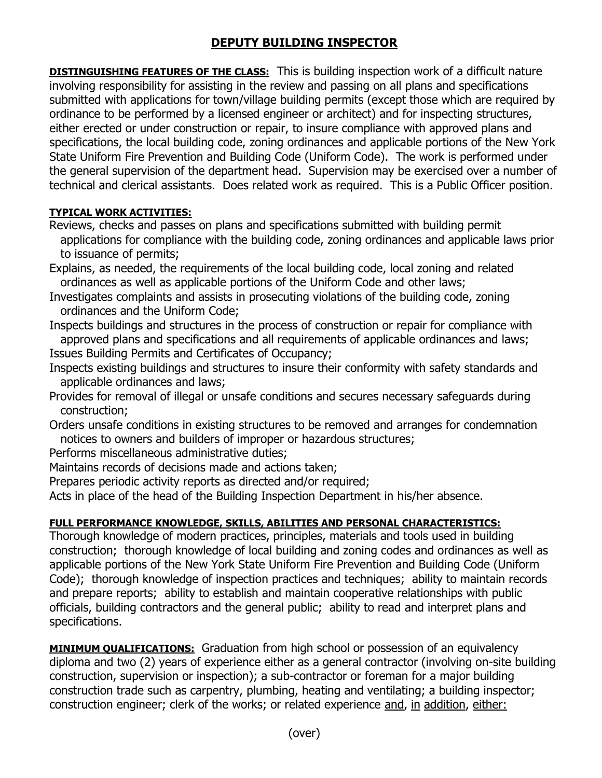## **DEPUTY BUILDING INSPECTOR**

**DISTINGUISHING FEATURES OF THE CLASS:** This is building inspection work of a difficult nature involving responsibility for assisting in the review and passing on all plans and specifications submitted with applications for town/village building permits (except those which are required by ordinance to be performed by a licensed engineer or architect) and for inspecting structures, either erected or under construction or repair, to insure compliance with approved plans and specifications, the local building code, zoning ordinances and applicable portions of the New York State Uniform Fire Prevention and Building Code (Uniform Code). The work is performed under the general supervision of the department head. Supervision may be exercised over a number of technical and clerical assistants. Does related work as required. This is a Public Officer position.

## **TYPICAL WORK ACTIVITIES:**

- Reviews, checks and passes on plans and specifications submitted with building permit applications for compliance with the building code, zoning ordinances and applicable laws prior to issuance of permits;
- Explains, as needed, the requirements of the local building code, local zoning and related ordinances as well as applicable portions of the Uniform Code and other laws;
- Investigates complaints and assists in prosecuting violations of the building code, zoning ordinances and the Uniform Code;
- Inspects buildings and structures in the process of construction or repair for compliance with approved plans and specifications and all requirements of applicable ordinances and laws; Issues Building Permits and Certificates of Occupancy;
- Inspects existing buildings and structures to insure their conformity with safety standards and applicable ordinances and laws;
- Provides for removal of illegal or unsafe conditions and secures necessary safeguards during construction;
- Orders unsafe conditions in existing structures to be removed and arranges for condemnation notices to owners and builders of improper or hazardous structures;
- Performs miscellaneous administrative duties;
- Maintains records of decisions made and actions taken;
- Prepares periodic activity reports as directed and/or required;
- Acts in place of the head of the Building Inspection Department in his/her absence.

## **FULL PERFORMANCE KNOWLEDGE, SKILLS, ABILITIES AND PERSONAL CHARACTERISTICS:**

Thorough knowledge of modern practices, principles, materials and tools used in building construction; thorough knowledge of local building and zoning codes and ordinances as well as applicable portions of the New York State Uniform Fire Prevention and Building Code (Uniform Code); thorough knowledge of inspection practices and techniques; ability to maintain records and prepare reports; ability to establish and maintain cooperative relationships with public officials, building contractors and the general public; ability to read and interpret plans and specifications.

**MINIMUM QUALIFICATIONS:** Graduation from high school or possession of an equivalency diploma and two (2) years of experience either as a general contractor (involving on-site building construction, supervision or inspection); a sub-contractor or foreman for a major building construction trade such as carpentry, plumbing, heating and ventilating; a building inspector; construction engineer; clerk of the works; or related experience and, in addition, either: